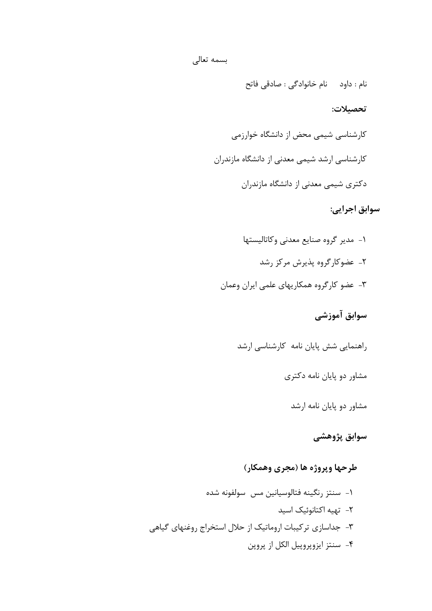نام : داود نام خانوادگی : صادقی فاتح

#### **تحصیلات:**

کارشناسی شیمی محض از دانشگاه خوارزمی کارشناسی ارشد شیمی معدنی از دانشگاه مازندران دکتري شیمی معدنی از دانشگاه مازندران

# **سوابق اجرایی:**

-1 مدیر گروه صنایع معدنی وکاتالیستها -2 عضوکارگروه پذیرش مرکز رشد -3 عضو کارگروه همکاریهاي علمی ایران وعمان

**سوابق آموزشی**

راهنمایی شش پایان نامه کارشناسی ارشد

مشاور دو پایان نامه دکتري

مشاور دو پایان نامه ارشد

**سوابق پژوهشی**

# **طرحها وپروژه ها (مجري وهمکار)**

-1 سنتز رنگینه فتالوسیانین مس سولفونه شده -2 تهیه اکتانوئیک اسید -3 جداسازي ترکیبات اروماتیک از حلال استخراج روغنهاي گیاهی -4 سنتز ایزوپروپیل الکل از پروپن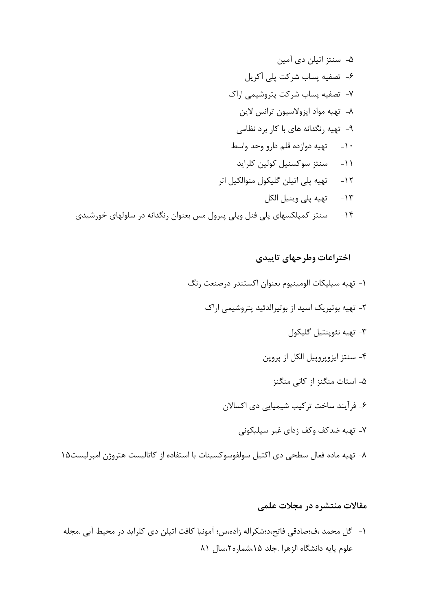-5 سنتز اتیلن دي آمین -6 تصفیه پساب شرکت پلی آکریل -7 تصفیه پساب شرکت پتروشیمی اراك -8 تهیه مواد ایزولاسیون ترانس لاین -9 تهیه رنگدانه هاي با کار برد نظامی -10 تهیه دوازده قلم دارو وحد واسط -11 سنتز سوکسنیل کولین کلراید -12 تهیه پلی اتیلن گلیکول منوالکیل اتر -13 تهیه پلی وینیل الکل -14 سنتز کمپلکسهاي پلی فنل وپلی پیرول مس بعنوان رنگدانه در سلولهاي خورشیدي

### **اختراعات وطرحهاي تاییدي**

- -1 تهیه سیلیکات الومینیوم بعنوان اکستندر درصنعت رنگ -2 تهیه بوتیریک اسید از بوتیرالدئید پتروشیمی اراك -3 تهیه نئوپنتیل گلیکول -4 سنتز ایزوپروپیل الکل از پروپن -5 استات منگنز از کانی منگنز -6 فرآیند ساخت ترکیب شیمیایی دي اکسالان -7 تهیه ضدکف وکف زداي غیر سیلیکونی
- -8 تهیه ماده فعال سطحی دي اکتیل سولفوسوکسینات با استفاده از کاتالیست هتروژن امبرلیست15

## **مقالات منتشره در مجلات علمی**

-1 گل محمد ،ف؛صادقی فاتح،د؛شکراله زاده،س؛ آمونیا کافت اتیلن دي کلراید در محیط آبی .مجله علوم پایه دانشگاه الزهرا .جلد ،15شماره،2سال 81